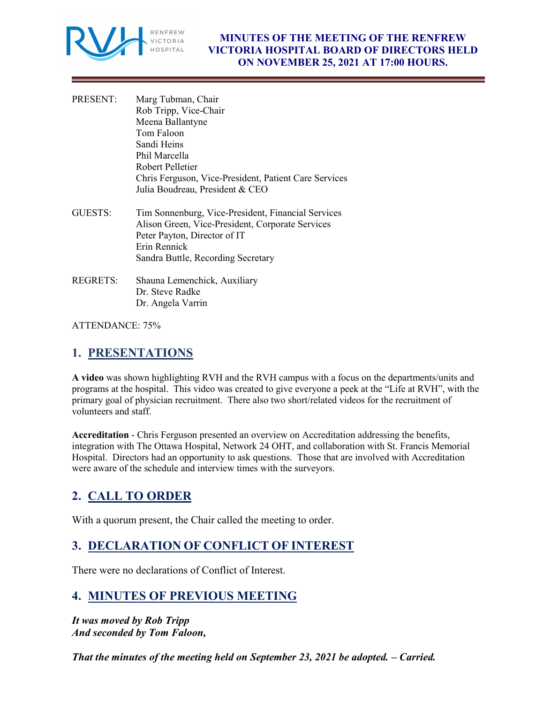

- PRESENT: Marg Tubman, Chair Rob Tripp, Vice-Chair Meena Ballantyne Tom Faloon Sandi Heins Phil Marcella Robert Pelletier Chris Ferguson, Vice-President, Patient Care Services Julia Boudreau, President & CEO
- GUESTS: Tim Sonnenburg, Vice-President, Financial Services Alison Green, Vice-President, Corporate Services Peter Payton, Director of IT Erin Rennick Sandra Buttle, Recording Secretary
- REGRETS: Shauna Lemenchick, Auxiliary Dr. Steve Radke Dr. Angela Varrin

ATTENDANCE: 75%

# **1. PRESENTATIONS**

**A video** was shown highlighting RVH and the RVH campus with a focus on the departments/units and programs at the hospital. This video was created to give everyone a peek at the "Life at RVH", with the primary goal of physician recruitment. There also two short/related videos for the recruitment of volunteers and staff.

**Accreditation** - Chris Ferguson presented an overview on Accreditation addressing the benefits, integration with The Ottawa Hospital, Network 24 OHT, and collaboration with St. Francis Memorial Hospital. Directors had an opportunity to ask questions. Those that are involved with Accreditation were aware of the schedule and interview times with the surveyors.

# **2. CALL TO ORDER**

With a quorum present, the Chair called the meeting to order.

# **3. DECLARATION OF CONFLICT OF INTEREST**

There were no declarations of Conflict of Interest.

# **4. MINUTES OF PREVIOUS MEETING**

*It was moved by Rob Tripp And seconded by Tom Faloon,* 

*That the minutes of the meeting held on September 23, 2021 be adopted. – Carried.*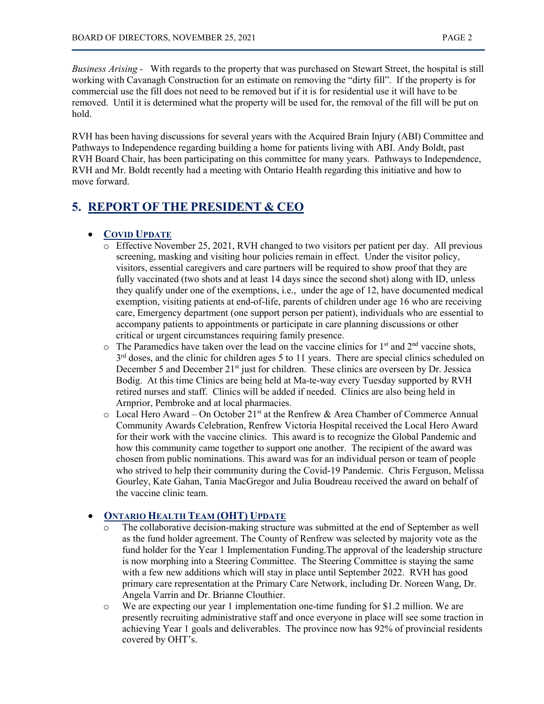*Business Arising -* With regards to the property that was purchased on Stewart Street, the hospital is still working with Cavanagh Construction for an estimate on removing the "dirty fill". If the property is for commercial use the fill does not need to be removed but if it is for residential use it will have to be removed. Until it is determined what the property will be used for, the removal of the fill will be put on hold.

RVH has been having discussions for several years with the Acquired Brain Injury (ABI) Committee and Pathways to Independence regarding building a home for patients living with ABI. Andy Boldt, past RVH Board Chair, has been participating on this committee for many years. Pathways to Independence, RVH and Mr. Boldt recently had a meeting with Ontario Health regarding this initiative and how to move forward.

# **5. REPORT OF THE PRESIDENT & CEO**

# • **COVID UPDATE**

- o Effective November 25, 2021, RVH changed to two visitors per patient per day. All previous screening, masking and visiting hour policies remain in effect. Under the visitor policy, visitors, essential caregivers and care partners will be required to show proof that they are fully vaccinated (two shots and at least 14 days since the second shot) along with ID, unless they qualify under one of the exemptions, i.e., under the age of 12, have documented medical exemption, visiting patients at end-of-life, parents of children under age 16 who are receiving care, Emergency department (one support person per patient), individuals who are essential to accompany patients to appointments or participate in care planning discussions or other critical or urgent circumstances requiring family presence.
- $\circ$  The Paramedics have taken over the lead on the vaccine clinics for 1<sup>st</sup> and 2<sup>nd</sup> vaccine shots,  $3<sup>rd</sup>$  doses, and the clinic for children ages 5 to 11 years. There are special clinics scheduled on December 5 and December 21<sup>st</sup> just for children. These clinics are overseen by Dr. Jessica Bodig. At this time Clinics are being held at Ma-te-way every Tuesday supported by RVH retired nurses and staff. Clinics will be added if needed. Clinics are also being held in Arnprior, Pembroke and at local pharmacies.
- $\circ$  Local Hero Award On October 21<sup>st</sup> at the Renfrew & Area Chamber of Commerce Annual Community Awards Celebration, Renfrew Victoria Hospital received the Local Hero Award for their work with the vaccine clinics. This award is to recognize the Global Pandemic and how this community came together to support one another. The recipient of the award was chosen from public nominations. This award was for an individual person or team of people who strived to help their community during the Covid-19 Pandemic. Chris Ferguson, Melissa Gourley, Kate Gahan, Tania MacGregor and Julia Boudreau received the award on behalf of the vaccine clinic team.

# • **ONTARIO HEALTH TEAM (OHT) UPDATE**

- The collaborative decision-making structure was submitted at the end of September as well as the fund holder agreement. The County of Renfrew was selected by majority vote as the fund holder for the Year 1 Implementation Funding.The approval of the leadership structure is now morphing into a Steering Committee. The Steering Committee is staying the same with a few new additions which will stay in place until September 2022. RVH has good primary care representation at the Primary Care Network, including Dr. Noreen Wang, Dr. Angela Varrin and Dr. Brianne Clouthier.
- o We are expecting our year 1 implementation one-time funding for \$1.2 million. We are presently recruiting administrative staff and once everyone in place will see some traction in achieving Year 1 goals and deliverables. The province now has 92% of provincial residents covered by OHT's.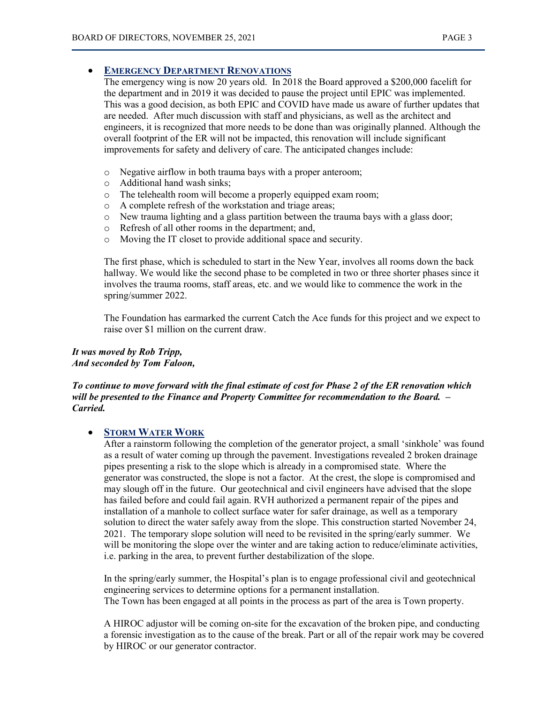#### • **EMERGENCY DEPARTMENT RENOVATIONS**

The emergency wing is now 20 years old. In 2018 the Board approved a \$200,000 facelift for the department and in 2019 it was decided to pause the project until EPIC was implemented. This was a good decision, as both EPIC and COVID have made us aware of further updates that are needed. After much discussion with staff and physicians, as well as the architect and engineers, it is recognized that more needs to be done than was originally planned. Although the overall footprint of the ER will not be impacted, this renovation will include significant improvements for safety and delivery of care. The anticipated changes include:

- o Negative airflow in both trauma bays with a proper anteroom;
- o Additional hand wash sinks;
- o The telehealth room will become a properly equipped exam room;
- o A complete refresh of the workstation and triage areas;
- o New trauma lighting and a glass partition between the trauma bays with a glass door;
- o Refresh of all other rooms in the department; and,
- o Moving the IT closet to provide additional space and security.

The first phase, which is scheduled to start in the New Year, involves all rooms down the back hallway. We would like the second phase to be completed in two or three shorter phases since it involves the trauma rooms, staff areas, etc. and we would like to commence the work in the spring/summer 2022.

The Foundation has earmarked the current Catch the Ace funds for this project and we expect to raise over \$1 million on the current draw.

### *It was moved by Rob Tripp, And seconded by Tom Faloon,*

#### *To continue to move forward with the final estimate of cost for Phase 2 of the ER renovation which will be presented to the Finance and Property Committee for recommendation to the Board. – Carried.*

#### • **STORM WATER WORK**

After a rainstorm following the completion of the generator project, a small 'sinkhole' was found as a result of water coming up through the pavement. Investigations revealed 2 broken drainage pipes presenting a risk to the slope which is already in a compromised state. Where the generator was constructed, the slope is not a factor. At the crest, the slope is compromised and may slough off in the future. Our geotechnical and civil engineers have advised that the slope has failed before and could fail again. RVH authorized a permanent repair of the pipes and installation of a manhole to collect surface water for safer drainage, as well as a temporary solution to direct the water safely away from the slope. This construction started November 24, 2021. The temporary slope solution will need to be revisited in the spring/early summer. We will be monitoring the slope over the winter and are taking action to reduce/eliminate activities, i.e. parking in the area, to prevent further destabilization of the slope.

In the spring/early summer, the Hospital's plan is to engage professional civil and geotechnical engineering services to determine options for a permanent installation. The Town has been engaged at all points in the process as part of the area is Town property.

A HIROC adjustor will be coming on-site for the excavation of the broken pipe, and conducting a forensic investigation as to the cause of the break. Part or all of the repair work may be covered by HIROC or our generator contractor.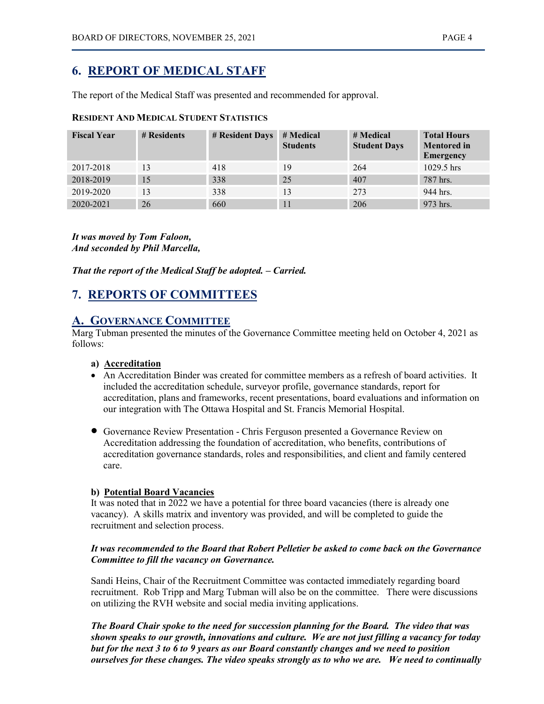# **6. REPORT OF MEDICAL STAFF**

The report of the Medical Staff was presented and recommended for approval.

### **RESIDENT AND MEDICAL STUDENT STATISTICS**

| <b>Fiscal Year</b> | # Residents | # Resident Days | # Medical<br><b>Students</b> | # Medical<br><b>Student Days</b> | <b>Total Hours</b><br><b>Mentored</b> in<br><b>Emergency</b> |
|--------------------|-------------|-----------------|------------------------------|----------------------------------|--------------------------------------------------------------|
| 2017-2018          | 13          | 418             | 19                           | 264                              | 1029.5 hrs                                                   |
| 2018-2019          | 15          | 338             | 25                           | 407                              | 787 hrs.                                                     |
| 2019-2020          | 13          | 338             | 13                           | 273                              | 944 hrs.                                                     |
| 2020-2021          | 26          | 660             | 11                           | 206                              | 973 hrs.                                                     |

*It was moved by Tom Faloon, And seconded by Phil Marcella,*

*That the report of the Medical Staff be adopted. – Carried.*

# **7. REPORTS OF COMMITTEES**

# **A. GOVERNANCE COMMITTEE**

Marg Tubman presented the minutes of the Governance Committee meeting held on October 4, 2021 as follows:

#### **a) Accreditation**

- An Accreditation Binder was created for committee members as a refresh of board activities. It included the accreditation schedule, surveyor profile, governance standards, report for accreditation, plans and frameworks, recent presentations, board evaluations and information on our integration with The Ottawa Hospital and St. Francis Memorial Hospital.
- Governance Review Presentation Chris Ferguson presented a Governance Review on Accreditation addressing the foundation of accreditation, who benefits, contributions of accreditation governance standards, roles and responsibilities, and client and family centered care.

#### **b) Potential Board Vacancies**

It was noted that in 2022 we have a potential for three board vacancies (there is already one vacancy). A skills matrix and inventory was provided, and will be completed to guide the recruitment and selection process.

# *It was recommended to the Board that Robert Pelletier be asked to come back on the Governance Committee to fill the vacancy on Governance.*

Sandi Heins, Chair of the Recruitment Committee was contacted immediately regarding board recruitment. Rob Tripp and Marg Tubman will also be on the committee. There were discussions on utilizing the RVH website and social media inviting applications.

*The Board Chair spoke to the need for succession planning for the Board. The video that was shown speaks to our growth, innovations and culture. We are not just filling a vacancy for today but for the next 3 to 6 to 9 years as our Board constantly changes and we need to position ourselves for these changes. The video speaks strongly as to who we are. We need to continually*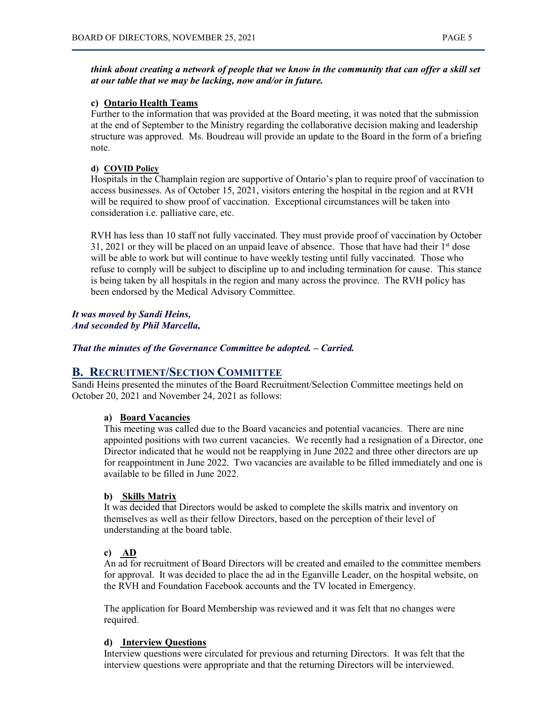### *think about creating a network of people that we know in the community that can offer a skill set at our table that we may be lacking, now and/or in future.*

#### **c) Ontario Health Teams**

Further to the information that was provided at the Board meeting, it was noted that the submission at the end of September to the Ministry regarding the collaborative decision making and leadership structure was approved. Ms. Boudreau will provide an update to the Board in the form of a briefing note.

#### **d) COVID Policy**

Hospitals in the Champlain region are supportive of Ontario's plan to require proof of vaccination to access businesses. As of October 15, 2021, visitors entering the hospital in the region and at RVH will be required to show proof of vaccination. Exceptional circumstances will be taken into consideration i.e. palliative care, etc.

RVH has less than 10 staff not fully vaccinated. They must provide proof of vaccination by October  $31, 2021$  or they will be placed on an unpaid leave of absence. Those that have had their  $1<sup>st</sup>$  dose will be able to work but will continue to have weekly testing until fully vaccinated. Those who refuse to comply will be subject to discipline up to and including termination for cause. This stance is being taken by all hospitals in the region and many across the province. The RVH policy has been endorsed by the Medical Advisory Committee.

#### *It was moved by Sandi Heins, And seconded by Phil Marcella,*

*That the minutes of the Governance Committee be adopted. – Carried.*

# **B. RECRUITMENT/SECTION COMMITTEE**

Sandi Heins presented the minutes of the Board Recruitment/Selection Committee meetings held on October 20, 2021 and November 24, 2021 as follows:

#### **a) Board Vacancies**

This meeting was called due to the Board vacancies and potential vacancies. There are nine appointed positions with two current vacancies. We recently had a resignation of a Director, one Director indicated that he would not be reapplying in June 2022 and three other directors are up for reappointment in June 2022. Two vacancies are available to be filled immediately and one is available to be filled in June 2022.

#### **b) Skills Matrix**

It was decided that Directors would be asked to complete the skills matrix and inventory on themselves as well as their fellow Directors, based on the perception of their level of understanding at the board table.

#### **c) AD**

An ad for recruitment of Board Directors will be created and emailed to the committee members for approval. It was decided to place the ad in the Eganville Leader, on the hospital website, on the RVH and Foundation Facebook accounts and the TV located in Emergency.

The application for Board Membership was reviewed and it was felt that no changes were required.

#### **d) Interview Questions**

Interview questions were circulated for previous and returning Directors. It was felt that the interview questions were appropriate and that the returning Directors will be interviewed.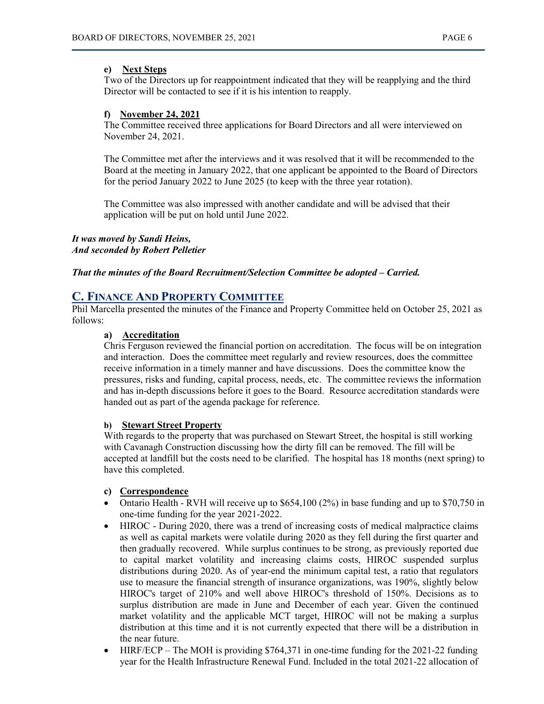#### **e) Next Steps**

Two of the Directors up for reappointment indicated that they will be reapplying and the third Director will be contacted to see if it is his intention to reapply.

#### **f) November 24, 2021**

The Committee received three applications for Board Directors and all were interviewed on November 24, 2021.

The Committee met after the interviews and it was resolved that it will be recommended to the Board at the meeting in January 2022, that one applicant be appointed to the Board of Directors for the period January 2022 to June 2025 (to keep with the three year rotation).

The Committee was also impressed with another candidate and will be advised that their application will be put on hold until June 2022.

*It was moved by Sandi Heins, And seconded by Robert Pelletier*

*That the minutes of the Board Recruitment/Selection Committee be adopted – Carried.*

# **C. FINANCE AND PROPERTY COMMITTEE**

Phil Marcella presented the minutes of the Finance and Property Committee held on October 25, 2021 as follows:

#### **a) Accreditation**

Chris Ferguson reviewed the financial portion on accreditation. The focus will be on integration and interaction. Does the committee meet regularly and review resources, does the committee receive information in a timely manner and have discussions. Does the committee know the pressures, risks and funding, capital process, needs, etc. The committee reviews the information and has in-depth discussions before it goes to the Board. Resource accreditation standards were handed out as part of the agenda package for reference.

#### **b) Stewart Street Property**

With regards to the property that was purchased on Stewart Street, the hospital is still working with Cavanagh Construction discussing how the dirty fill can be removed. The fill will be accepted at landfill but the costs need to be clarified. The hospital has 18 months (next spring) to have this completed.

#### **c) Correspondence**

- Ontario Health RVH will receive up to \$654,100 (2%) in base funding and up to \$70,750 in one-time funding for the year 2021-2022.
- HIROC During 2020, there was a trend of increasing costs of medical malpractice claims as well as capital markets were volatile during 2020 as they fell during the first quarter and then gradually recovered. While surplus continues to be strong, as previously reported due to capital market volatility and increasing claims costs, HIROC suspended surplus distributions during 2020. As of year-end the minimum capital test, a ratio that regulators use to measure the financial strength of insurance organizations, was 190%, slightly below HIROC's target of 210% and well above HIROC's threshold of 150%. Decisions as to surplus distribution are made in June and December of each year. Given the continued market volatility and the applicable MCT target, HIROC will not be making a surplus distribution at this time and it is not currently expected that there will be a distribution in the near future.
- HIRF/ECP The MOH is providing \$764,371 in one-time funding for the 2021-22 funding year for the Health Infrastructure Renewal Fund. Included in the total 2021-22 allocation of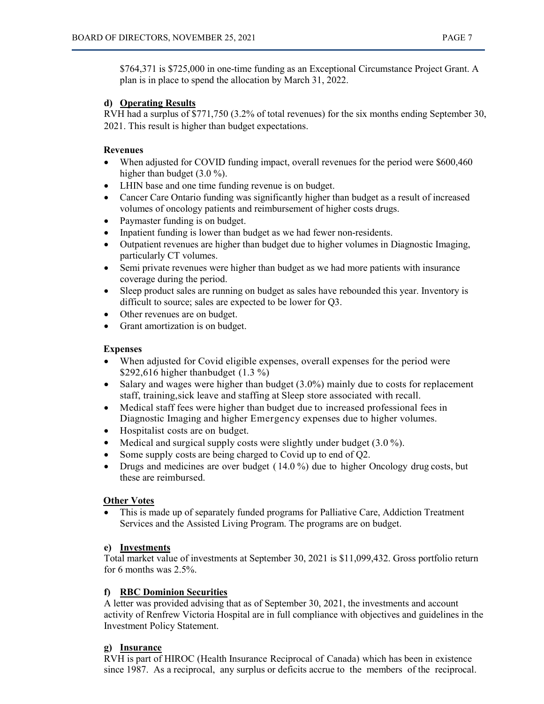\$764,371 is \$725,000 in one-time funding as an Exceptional Circumstance Project Grant. A plan is in place to spend the allocation by March 31, 2022.

### **d) Operating Results**

RVH had a surplus of \$771,750 (3.2% of total revenues) for the six months ending September 30, 2021. This result is higher than budget expectations.

# **Revenues**

- When adjusted for COVID funding impact, overall revenues for the period were \$600,460 higher than budget (3.0 %).
- LHIN base and one time funding revenue is on budget.
- Cancer Care Ontario funding was significantly higher than budget as a result of increased volumes of oncology patients and reimbursement of higher costs drugs.
- Paymaster funding is on budget.
- Inpatient funding is lower than budget as we had fewer non-residents.
- Outpatient revenues are higher than budget due to higher volumes in Diagnostic Imaging, particularly CT volumes.
- Semi private revenues were higher than budget as we had more patients with insurance coverage during the period.
- Sleep product sales are running on budget as sales have rebounded this year. Inventory is difficult to source; sales are expected to be lower for Q3.
- Other revenues are on budget.
- Grant amortization is on budget.

### **Expenses**

- When adjusted for Covid eligible expenses, overall expenses for the period were \$292,616 higher thanbudget (1.3 %)
- Salary and wages were higher than budget (3.0%) mainly due to costs for replacement staff, training,sick leave and staffing at Sleep store associated with recall.
- Medical staff fees were higher than budget due to increased professional fees in Diagnostic Imaging and higher Emergency expenses due to higher volumes.
- Hospitalist costs are on budget.
- Medical and surgical supply costs were slightly under budget  $(3.0\%)$ .
- Some supply costs are being charged to Covid up to end of Q2.
- Drugs and medicines are over budget (14.0%) due to higher Oncology drug costs, but these are reimbursed.

#### **Other Votes**

• This is made up of separately funded programs for Palliative Care, Addiction Treatment Services and the Assisted Living Program. The programs are on budget.

#### **e) Investments**

Total market value of investments at September 30, 2021 is \$11,099,432. Gross portfolio return for 6 months was 2.5%.

#### **f) RBC Dominion Securities**

A letter was provided advising that as of September 30, 2021, the investments and account activity of Renfrew Victoria Hospital are in full compliance with objectives and guidelines in the Investment Policy Statement.

# **g) Insurance**

RVH is part of HIROC (Health Insurance Reciprocal of Canada) which has been in existence since 1987. As a reciprocal, any surplus or deficits accrue to the members of the reciprocal.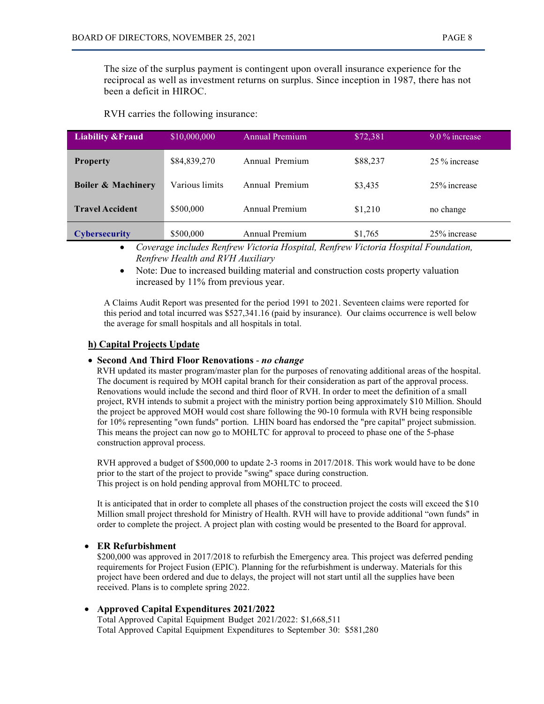The size of the surplus payment is contingent upon overall insurance experience for the reciprocal as well as investment returns on surplus. Since inception in 1987, there has not been a deficit in HIROC.

RVH carries the following insurance:

| <b>Liability &amp; Fraud</b>  | \$10,000,000   | Annual Premium | \$72,381 | $9.0\%$ increase |
|-------------------------------|----------------|----------------|----------|------------------|
| <b>Property</b>               | \$84,839,270   | Annual Premium | \$88,237 | 25 % increase    |
| <b>Boiler &amp; Machinery</b> | Various limits | Annual Premium | \$3,435  | 25% increase     |
| <b>Travel Accident</b>        | \$500,000      | Annual Premium | \$1,210  | no change        |
| <b>Cybersecurity</b>          | \$500,000      | Annual Premium | \$1,765  | 25% increase     |

• *Coverage includes Renfrew Victoria Hospital, Renfrew Victoria Hospital Foundation, Renfrew Health and RVH Auxiliary*

• Note: Due to increased building material and construction costs property valuation increased by 11% from previous year.

A Claims Audit Report was presented for the period 1991 to 2021. Seventeen claims were reported for this period and total incurred was \$527,341.16 (paid by insurance). Our claims occurrence is well below the average for small hospitals and all hospitals in total.

#### **h) Capital Projects Update**

#### • **Second And Third Floor Renovations** - *no change*

 RVH updated its master program/master plan for the purposes of renovating additional areas of the hospital. The document is required by MOH capital branch for their consideration as part of the approval process. Renovations would include the second and third floor of RVH. In order to meet the definition of a small project, RVH intends to submit a project with the ministry portion being approximately \$10 Million. Should the project be approved MOH would cost share following the 90-10 formula with RVH being responsible for 10% representing "own funds" portion. LHIN board has endorsed the "pre capital" project submission. This means the project can now go to MOHLTC for approval to proceed to phase one of the 5-phase construction approval process.

RVH approved a budget of \$500,000 to update 2-3 rooms in 2017/2018. This work would have to be done prior to the start of the project to provide "swing" space during construction. This project is on hold pending approval from MOHLTC to proceed.

It is anticipated that in order to complete all phases of the construction project the costs will exceed the \$10 Million small project threshold for Ministry of Health. RVH will have to provide additional "own funds" in order to complete the project. A project plan with costing would be presented to the Board for approval.

#### • **ER Refurbishment**

\$200,000 was approved in 2017/2018 to refurbish the Emergency area. This project was deferred pending requirements for Project Fusion (EPIC). Planning for the refurbishment is underway. Materials for this project have been ordered and due to delays, the project will not start until all the supplies have been received. Plans is to complete spring 2022.

#### • **Approved Capital Expenditures 2021/2022**

Total Approved Capital Equipment Budget 2021/2022: \$1,668,511 Total Approved Capital Equipment Expenditures to September 30: \$581,280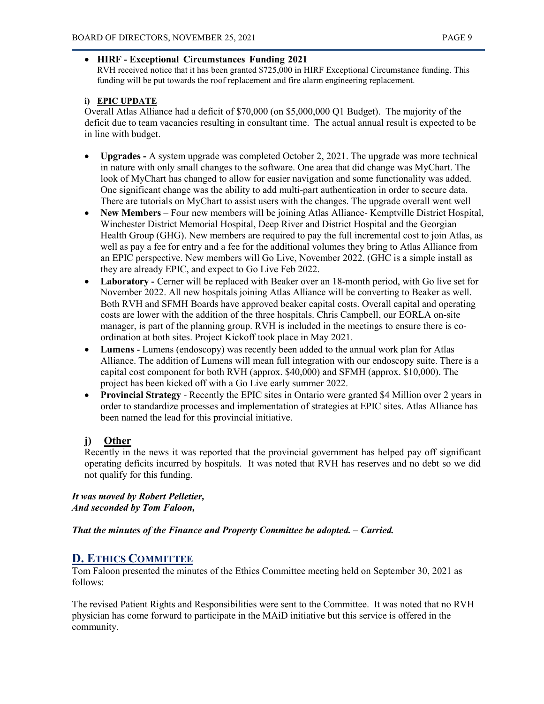## • **HIRF - Exceptional Circumstances Funding 2021**

RVH received notice that it has been granted \$725,000 in HIRF Exceptional Circumstance funding. This funding will be put towards the roof replacement and fire alarm engineering replacement.

# **i) EPIC UPDATE**

Overall Atlas Alliance had a deficit of \$70,000 (on \$5,000,000 Q1 Budget). The majority of the deficit due to team vacancies resulting in consultant time. The actual annual result is expected to be in line with budget.

- **Upgrades -** A system upgrade was completed October 2, 2021. The upgrade was more technical in nature with only small changes to the software. One area that did change was MyChart. The look of MyChart has changed to allow for easier navigation and some functionality was added. One significant change was the ability to add multi-part authentication in order to secure data. There are tutorials on MyChart to assist users with the changes. The upgrade overall went well
- **New Members**  Four new members will be joining Atlas Alliance- Kemptville District Hospital, Winchester District Memorial Hospital, Deep River and District Hospital and the Georgian Health Group (GHG). New members are required to pay the full incremental cost to join Atlas, as well as pay a fee for entry and a fee for the additional volumes they bring to Atlas Alliance from an EPIC perspective. New members will Go Live, November 2022. (GHC is a simple install as they are already EPIC, and expect to Go Live Feb 2022.
- **Laboratory -** Cerner will be replaced with Beaker over an 18-month period, with Go live set for November 2022. All new hospitals joining Atlas Alliance will be converting to Beaker as well. Both RVH and SFMH Boards have approved beaker capital costs. Overall capital and operating costs are lower with the addition of the three hospitals. Chris Campbell, our EORLA on-site manager, is part of the planning group. RVH is included in the meetings to ensure there is coordination at both sites. Project Kickoff took place in May 2021.
- **Lumens** Lumens (endoscopy) was recently been added to the annual work plan for Atlas Alliance. The addition of Lumens will mean full integration with our endoscopy suite. There is a capital cost component for both RVH (approx. \$40,000) and SFMH (approx. \$10,000). The project has been kicked off with a Go Live early summer 2022.
- **Provincial Strategy** Recently the EPIC sites in Ontario were granted \$4 Million over 2 years in order to standardize processes and implementation of strategies at EPIC sites. Atlas Alliance has been named the lead for this provincial initiative.

# **j) Other**

Recently in the news it was reported that the provincial government has helped pay off significant operating deficits incurred by hospitals. It was noted that RVH has reserves and no debt so we did not qualify for this funding.

*It was moved by Robert Pelletier, And seconded by Tom Faloon,*

*That the minutes of the Finance and Property Committee be adopted. – Carried.*

# **D. ETHICS COMMITTEE**

Tom Faloon presented the minutes of the Ethics Committee meeting held on September 30, 2021 as follows:

The revised Patient Rights and Responsibilities were sent to the Committee. It was noted that no RVH physician has come forward to participate in the MAiD initiative but this service is offered in the community.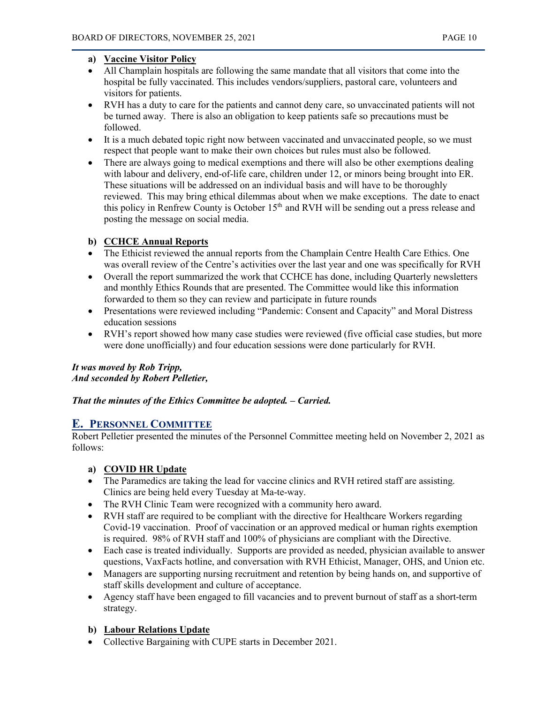# **a) Vaccine Visitor Policy**

- All Champlain hospitals are following the same mandate that all visitors that come into the hospital be fully vaccinated. This includes vendors/suppliers, pastoral care, volunteers and visitors for patients.
- RVH has a duty to care for the patients and cannot deny care, so unvaccinated patients will not be turned away. There is also an obligation to keep patients safe so precautions must be followed.
- It is a much debated topic right now between vaccinated and unvaccinated people, so we must respect that people want to make their own choices but rules must also be followed.
- There are always going to medical exemptions and there will also be other exemptions dealing with labour and delivery, end-of-life care, children under 12, or minors being brought into ER. These situations will be addressed on an individual basis and will have to be thoroughly reviewed. This may bring ethical dilemmas about when we make exceptions. The date to enact this policy in Renfrew County is October 15<sup>th</sup> and RVH will be sending out a press release and posting the message on social media.

# **b) CCHCE Annual Reports**

- The Ethicist reviewed the annual reports from the Champlain Centre Health Care Ethics. One was overall review of the Centre's activities over the last year and one was specifically for RVH
- Overall the report summarized the work that CCHCE has done, including Quarterly newsletters and monthly Ethics Rounds that are presented. The Committee would like this information forwarded to them so they can review and participate in future rounds
- Presentations were reviewed including "Pandemic: Consent and Capacity" and Moral Distress education sessions
- RVH's report showed how many case studies were reviewed (five official case studies, but more were done unofficially) and four education sessions were done particularly for RVH.

# *It was moved by Rob Tripp, And seconded by Robert Pelletier,*

# *That the minutes of the Ethics Committee be adopted. – Carried.*

# **E. PERSONNEL COMMITTEE**

Robert Pelletier presented the minutes of the Personnel Committee meeting held on November 2, 2021 as follows:

# **a) COVID HR Update**

- The Paramedics are taking the lead for vaccine clinics and RVH retired staff are assisting. Clinics are being held every Tuesday at Ma-te-way.
- The RVH Clinic Team were recognized with a community hero award.
- RVH staff are required to be compliant with the directive for Healthcare Workers regarding Covid-19 vaccination. Proof of vaccination or an approved medical or human rights exemption is required. 98% of RVH staff and 100% of physicians are compliant with the Directive.
- Each case is treated individually. Supports are provided as needed, physician available to answer questions, VaxFacts hotline, and conversation with RVH Ethicist, Manager, OHS, and Union etc.
- Managers are supporting nursing recruitment and retention by being hands on, and supportive of staff skills development and culture of acceptance.
- Agency staff have been engaged to fill vacancies and to prevent burnout of staff as a short-term strategy.

# **b) Labour Relations Update**

• Collective Bargaining with CUPE starts in December 2021.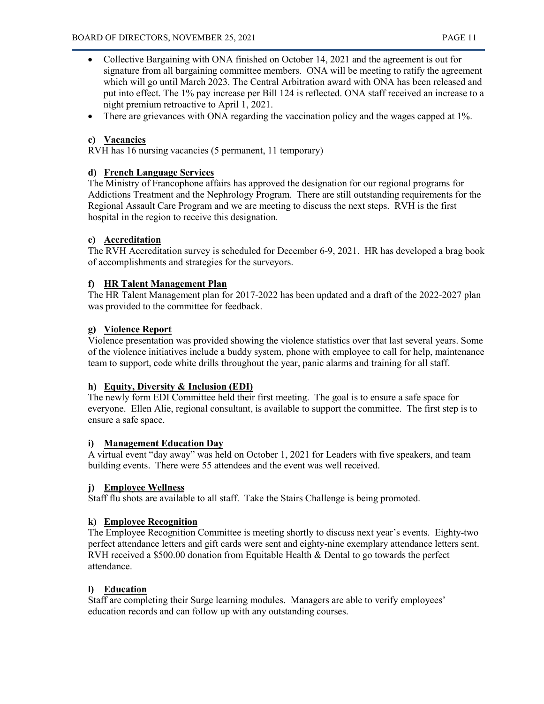- Collective Bargaining with ONA finished on October 14, 2021 and the agreement is out for signature from all bargaining committee members. ONA will be meeting to ratify the agreement which will go until March 2023. The Central Arbitration award with ONA has been released and put into effect. The 1% pay increase per Bill 124 is reflected. ONA staff received an increase to a night premium retroactive to April 1, 2021.
- There are grievances with ONA regarding the vaccination policy and the wages capped at 1%.

# **c) Vacancies**

RVH has 16 nursing vacancies (5 permanent, 11 temporary)

### **d) French Language Services**

The Ministry of Francophone affairs has approved the designation for our regional programs for Addictions Treatment and the Nephrology Program. There are still outstanding requirements for the Regional Assault Care Program and we are meeting to discuss the next steps. RVH is the first hospital in the region to receive this designation.

# **e) Accreditation**

The RVH Accreditation survey is scheduled for December 6-9, 2021. HR has developed a brag book of accomplishments and strategies for the surveyors.

# **f) HR Talent Management Plan**

The HR Talent Management plan for 2017-2022 has been updated and a draft of the 2022-2027 plan was provided to the committee for feedback.

# **g) Violence Report**

Violence presentation was provided showing the violence statistics over that last several years. Some of the violence initiatives include a buddy system, phone with employee to call for help, maintenance team to support, code white drills throughout the year, panic alarms and training for all staff.

#### **h) Equity, Diversity & Inclusion (EDI)**

The newly form EDI Committee held their first meeting. The goal is to ensure a safe space for everyone. Ellen Alie, regional consultant, is available to support the committee. The first step is to ensure a safe space.

#### **i) Management Education Day**

A virtual event "day away" was held on October 1, 2021 for Leaders with five speakers, and team building events. There were 55 attendees and the event was well received.

#### **j) Employee Wellness**

Staff flu shots are available to all staff. Take the Stairs Challenge is being promoted.

#### **k) Employee Recognition**

The Employee Recognition Committee is meeting shortly to discuss next year's events. Eighty-two perfect attendance letters and gift cards were sent and eighty-nine exemplary attendance letters sent. RVH received a \$500.00 donation from Equitable Health & Dental to go towards the perfect attendance.

# **l) Education**

Staff are completing their Surge learning modules. Managers are able to verify employees' education records and can follow up with any outstanding courses.